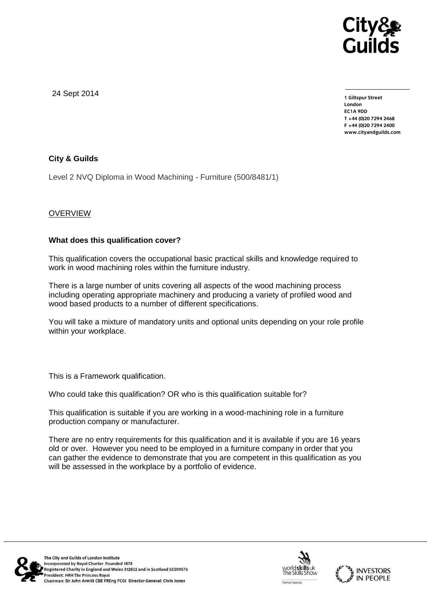

24 Sept 2014

**1 Giltspur Street EC1A 9DD** T +44 (0) 20 7 294 2468 **T +44 (0)20 7294 246[8](http://www.cityandguilds.com/) F +44 (0)20 7294 2400 [www.cityandguilds.com](http://www.cityandguilds.com/)**

# **City & Guilds**

Level 2 NVQ Diploma in Wood Machining - Furniture (500/8481/1)

# **OVERVIEW**

## **What does this qualification cover?**

This qualification covers the occupational basic practical skills and knowledge required to work in wood machining roles within the furniture industry.

There is a large number of units covering all aspects of the wood machining process including operating appropriate machinery and producing a variety of profiled wood and wood based products to a number of different specifications.

You will take a mixture of mandatory units and optional units depending on your role profile within your workplace.

This is a Framework qualification.

Who could take this qualification? OR who is this qualification suitable for?

This qualification is suitable if you are working in a wood-machining role in a furniture production company or manufacturer.

There are no entry requirements for this qualification and it is available if you are 16 years old or over. However you need to be employed in a furniture company in order that you can gather the evidence to demonstrate that you are competent in this qualification as you will be assessed in the workplace by a portfolio of evidence.